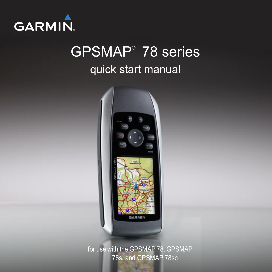

# GPSMAP® 78 series quick start manual



for use with the GPSMAP 78, GPSMAP 78s, and GPSMAP 78sc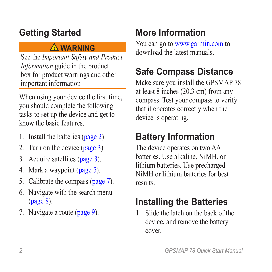### **Getting Started**

### ‹ **warning**

See the *Important Safety and Product Information* guide in the product box for product warnings and other important information

When using your device the first time, you should complete the following tasks to set up the device and get to know the basic features.

- 1. Install the batteries ([page 2](#page-1-0)).
- 2. Turn on the device ([page 3](#page-2-0)).
- 3. Acquire satellites [\(page 3\)](#page-2-1).
- 4. Mark a waypoint [\(page 5](#page-4-0)).
- 5. Calibrate the compass [\(page 7](#page-6-0)).
- 6. Navigate with the search menu ([page 8](#page-7-0)).
- 7. Navigate a route [\(page 9\)](#page-8-0).

## **More Information**

You can go to <www.garmin.com>to download the latest manuals.

### **Safe Compass Distance**

Make sure you install the GPSMAP 78 at least 8 inches (20.3 cm) from any compass. Test your compass to verify that it operates correctly when the device is operating.

## **Battery Information**

The device operates on two AA batteries. Use alkaline, NiMH, or lithium batteries. Use precharged NiMH or lithium batteries for best results.

### <span id="page-1-0"></span>**Installing the Batteries**

1. Slide the latch on the back of the device, and remove the battery cover.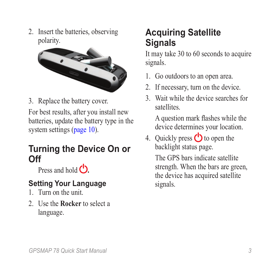2. Insert the batteries, observing polarity.



3. Replace the battery cover.

For best results, after you install new batteries, update the battery type in the system settings ([page 10](#page-9-0)).

#### <span id="page-2-0"></span>**Turning the Device On or Off**

Press and hold **C**.

#### **Setting Your Language**

- 1. Turn on the unit.
- 2. Use the **Rocker** to select a language.

### <span id="page-2-1"></span>**Acquiring Satellite Signals**

It may take 30 to 60 seconds to acquire signals.

- 1. Go outdoors to an open area.
- 2. If necessary, turn on the device.
- 3. Wait while the device searches for satellites.

A question mark flashes while the device determines your location.

4. Quickly press  $\bigcirc$  to open the backlight status page.

> The GPS bars indicate satellite strength. When the bars are green, the device has acquired satellite signals.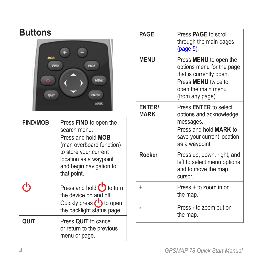#### **Buttons**

| MOB<br><b>FIND</b><br>PAGE   |  |
|------------------------------|--|
| <b>MENU</b>                  |  |
| QUIT<br>ENTER<br><b>MARK</b> |  |

| <b>FIND/MOB</b> | Press <b>FIND</b> to open the<br>search menu.<br>Press and hold <b>MOB</b><br>(man overboard function)<br>to store your current<br>location as a waypoint<br>and begin navigation to<br>that point. |
|-----------------|-----------------------------------------------------------------------------------------------------------------------------------------------------------------------------------------------------|
|                 | Press and hold <b>b</b> to turn<br>the device on and off.<br>Quickly press (1) to open<br>the backlight status page.                                                                                |
| QUIT            | Press QUIT to cancel<br>or return to the previous<br>menu or page.                                                                                                                                  |

| <b>PAGF</b>                  | Press <b>PAGE</b> to scroll<br>through the main pages<br>(page 5).                                                                                            |
|------------------------------|---------------------------------------------------------------------------------------------------------------------------------------------------------------|
| <b>MENU</b>                  | Press <b>MENU</b> to open the<br>options menu for the page<br>that is currently open.<br>Press <b>MENU</b> twice to<br>open the main menu<br>(from any page). |
| <b>ENTER/</b><br><b>MARK</b> | Press <b>ENTER</b> to select<br>options and acknowledge<br>messages.<br>Press and hold <b>MARK</b> to<br>save your current location<br>as a waypoint.         |
| Rocker                       | Press up, down, right, and<br>left to select menu options<br>and to move the map<br>cursor.                                                                   |
| ٠                            | Press + to zoom in on<br>the map.                                                                                                                             |
|                              | Press - to zoom out on<br>the map.                                                                                                                            |

 *GPSMAP 78 Quick Start Manual*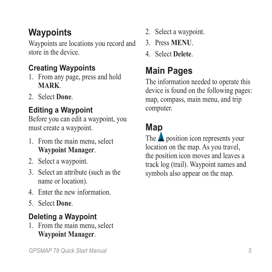### <span id="page-4-0"></span>**Waypoints**

Waypoints are locations you record and store in the device.

#### **Creating Waypoints**

- 1. From any page, press and hold **MARK**.
- 2. Select **Done**.

### **Editing a Waypoint**

Before you can edit a waypoint, you must create a waypoint.

- 1. From the main menu, select **Waypoint Manager**.
- 2. Select a waypoint.
- 3. Select an attribute (such as the name or location).
- 4. Enter the new information.
- 5. Select **Done**.

### **Deleting a Waypoint**

1. From the main menu, select **Waypoint Manager**.

- 2. Select a waypoint.
- 3. Press **Menu**.
- 4. Select **Delete**.

## <span id="page-4-1"></span>**Main Pages**

The information needed to operate this device is found on the following pages: map, compass, main menu, and trip computer.

## **Map**

The  $\triangle$  position icon represents your location on the map. As you travel, the position icon moves and leaves a track log (trail). Waypoint names and symbols also appear on the map.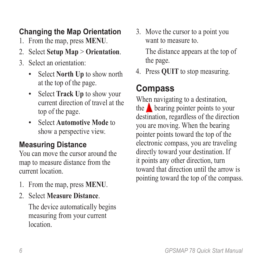#### **Changing the Map Orientation**

- 1. From the map, press **MENU**.
- 2. Select **Setup Map** > **Orientation**.
- 3. Select an orientation:
	- Select **North Up** to show north at the top of the page. •
	- Select **Track Up** to show your current direction of travel at the top of the page.
	- Select **Automotive Mode** to show a perspective view.

#### **Measuring Distance**

You can move the cursor around the map to measure distance from the current location.

- 1. From the map, press **MENU**.
- 2. Select **Measure Distance**.

The device automatically begins measuring from your current **location** 

3. Move the cursor to a point you want to measure to.

The distance appears at the top of the page.

4. Press **quit** to stop measuring.

### **Compass**

When navigating to a destination, the  $\triangle$  bearing pointer points to your destination, regardless of the direction you are moving. When the bearing pointer points toward the top of the electronic compass, you are traveling directly toward your destination. If it points any other direction, turn toward that direction until the arrow is pointing toward the top of the compass.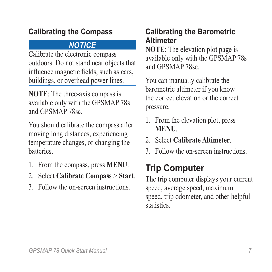#### <span id="page-6-0"></span>**Calibrating the Compass**

#### *notice*

Calibrate the electronic compass outdoors. Do not stand near objects that influence magnetic fields, such as cars, buildings, or overhead power lines.

**NOTE**: The three-axis compass is available only with the GPSMAP 78s and GPSMAP 78sc.

You should calibrate the compass after moving long distances, experiencing temperature changes, or changing the batteries.

- 1. From the compass, press **MENU**.
- 2. Select **Calibrate Compass** > **Start**.
- 3. Follow the on-screen instructions.

#### **Calibrating the Barometric Altimeter**

**NOTE:** The elevation plot page is available only with the GPSMAP 78s and GPSMAP 78sc.

You can manually calibrate the barometric altimeter if you know the correct elevation or the correct pressure.

- 1. From the elevation plot, press **menu**.
- 2. Select **Calibrate Altimeter**.
- 3. Follow the on-screen instructions.

## **Trip Computer**

The trip computer displays your current speed, average speed, maximum speed, trip odometer, and other helpful statistics.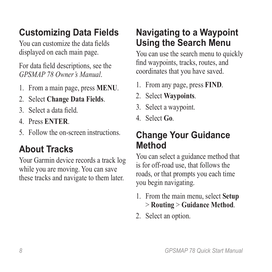## **Customizing Data Fields**

You can customize the data fields displayed on each main page.

For data field descriptions, see the *GPSMAP 78 Owner's Manual*.

- 1. From a main page, press **meNu**.
- 2. Select **Change Data Fields**.
- 3. Select a data field.
- 4. Press **ENTER**.
- 5. Follow the on-screen instructions.

### **About Tracks**

Your Garmin device records a track log while you are moving. You can save these tracks and navigate to them later.

### <span id="page-7-0"></span>**Navigating to a Waypoint Using the Search Menu**

You can use the search menu to quickly find waypoints, tracks, routes, and coordinates that you have saved.

- 1. From any page, press **FIND**.
- 2. Select **Waypoints**.
- 3. Select a waypoint.
- 4. Select **Go**.

#### **Change Your Guidance Method**

You can select a guidance method that is for off-road use, that follows the roads, or that prompts you each time you begin navigating.

- 1. From the main menu, select **Setup** > **Routing** > **Guidance Method**.
- 2. Select an option.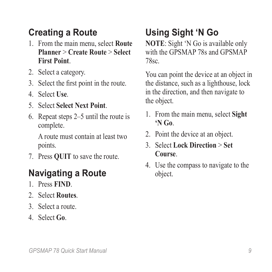### **Creating a Route**

- 1. From the main menu, select **Route Planner** > **Create Route** > **Select First Point**.
- 2. Select a category.
- 3. Select the first point in the route.
- 4. Select **Use**.
- 5. Select **Select Next Point**.
- 6. Repeat steps 2–5 until the route is complete.

A route must contain at least two points.

7. Press **quit** to save the route.

### <span id="page-8-0"></span>**Navigating a Route**

- 1. Press **FIND**.
- 2. Select **Routes**.
- 3. Select a route.
- 4. Select **Go**.

## **Using Sight 'N Go**

**NOTE**: Sight 'N Go is available only with the GPSMAP 78s and GPSMAP 78sc.

You can point the device at an object in the distance, such as a lighthouse, lock in the direction, and then navigate to the object.

- 1. From the main menu, select **Sight 'N Go**.
- 2. Point the device at an object.
- 3. Select **Lock Direction** > **Set Course**.
- 4. Use the compass to navigate to the object.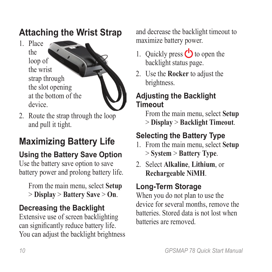### **Attaching the Wrist Strap**

1. Place the loop of the wrist strap through the slot opening at the bottom of the device.



2. Route the strap through the loop and pull it tight.

## **Maximizing Battery Life**

### **Using the Battery Save Option**

Use the battery save option to save battery power and prolong battery life.

From the main menu, select **Setup** > **Display** > **Battery Save** > **On**.

### **Decreasing the Backlight**

Extensive use of screen backlighting can significantly reduce battery life. You can adjust the backlight brightness and decrease the backlight timeout to maximize battery power.

- 1. Quickly press  $\bigcirc$  to open the backlight status page.
- 2. Use the **Rocker** to adjust the brightness.

#### **Adjusting the Backlight Timeout**

From the main menu, select **Setup** > **Display** > **Backlight Timeout**.

### <span id="page-9-0"></span>**Selecting the Battery Type**

- 1. From the main menu, select **Setup** > **System** > **Battery Type**.
- 2. Select **Alkaline**, **Lithium**, or **Rechargeable NiMH**.

### **Long-Term Storage**

When you do not plan to use the device for several months, remove the batteries. Stored data is not lost when batteries are removed.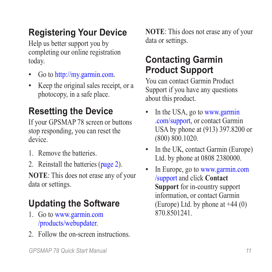### **Registering Your Device**

Help us better support you by completing our online registration today.

- Go to [http://my.garmin.com.](http://my.garmin.com) •
- Keep the original sales receipt, or a photocopy, in a safe place. •

### **Resetting the Device**

If your GPSMAP 78 screen or buttons stop responding, you can reset the device.

- 1. Remove the batteries.
- 2. Reinstall the batteries ([page 2](#page-1-0)).

**NOTE**: This does not erase any of your data or settings.

## **Updating the Software**

- 1. Go to [www.garmin.com](www.garmin.com/products/webupdater/) [/products/webupdater](www.garmin.com/products/webupdater/).
- 2. Follow the on-screen instructions.

**NOTE**: This does not erase any of your data or settings.

### **Contacting Garmin Product Support**

You can contact Garmin Product Support if you have any questions about this product.

- In the USA, go to [www.garmin](www.garmin.com/support) [.com/support](www.garmin.com/support), or contact Garmin USA by phone at (913) 397.8200 or (800) 800.1020. •
- In the UK, contact Garmin (Europe) Ltd. by phone at 0808 2380000. •
- In Europe, go to [www.garmin.com](www.garmin.com/support) [/support](www.garmin.com/support) and click **Contact Support** for in-country support information, or contact Garmin (Europe) Ltd. by phone at  $+44(0)$ 870.8501241. •